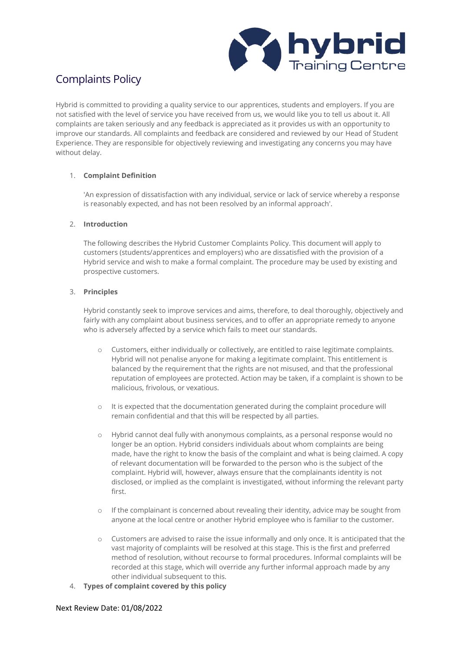

# Complaints Policy

Hybrid is committed to providing a quality service to our apprentices, students and employers. If you are not satisfied with the level of service you have received from us, we would like you to tell us about it. All complaints are taken seriously and any feedback is appreciated as it provides us with an opportunity to improve our standards. All complaints and feedback are considered and reviewed by our Head of Student Experience. They are responsible for objectively reviewing and investigating any concerns you may have without delay.

# 1. **Complaint Definition**

'An expression of dissatisfaction with any individual, service or lack of service whereby a response is reasonably expected, and has not been resolved by an informal approach'.

# 2. **Introduction**

The following describes the Hybrid Customer Complaints Policy. This document will apply to customers (students/apprentices and employers) who are dissatisfied with the provision of a Hybrid service and wish to make a formal complaint. The procedure may be used by existing and prospective customers.

# 3. **Principles**

Hybrid constantly seek to improve services and aims, therefore, to deal thoroughly, objectively and fairly with any complaint about business services, and to offer an appropriate remedy to anyone who is adversely affected by a service which fails to meet our standards.

- o Customers, either individually or collectively, are entitled to raise legitimate complaints. Hybrid will not penalise anyone for making a legitimate complaint. This entitlement is balanced by the requirement that the rights are not misused, and that the professional reputation of employees are protected. Action may be taken, if a complaint is shown to be malicious, frivolous, or vexatious.
- o It is expected that the documentation generated during the complaint procedure will remain confidential and that this will be respected by all parties.
- o Hybrid cannot deal fully with anonymous complaints, as a personal response would no longer be an option. Hybrid considers individuals about whom complaints are being made, have the right to know the basis of the complaint and what is being claimed. A copy of relevant documentation will be forwarded to the person who is the subject of the complaint. Hybrid will, however, always ensure that the complainants identity is not disclosed, or implied as the complaint is investigated, without informing the relevant party first.
- $\circ$  If the complainant is concerned about revealing their identity, advice may be sought from anyone at the local centre or another Hybrid employee who is familiar to the customer.
- o Customers are advised to raise the issue informally and only once. It is anticipated that the vast majority of complaints will be resolved at this stage. This is the first and preferred method of resolution, without recourse to formal procedures. Informal complaints will be recorded at this stage, which will override any further informal approach made by any other individual subsequent to this.
- 4. **Types of complaint covered by this policy**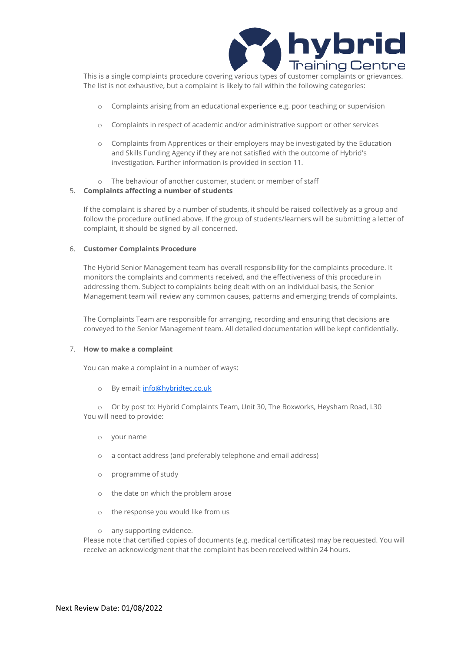

This is a single complaints procedure covering various types of customer complaints or grievances. The list is not exhaustive, but a complaint is likely to fall within the following categories:

- o Complaints arising from an educational experience e.g. poor teaching or supervision
- o Complaints in respect of academic and/or administrative support or other services
- o Complaints from Apprentices or their employers may be investigated by the Education and Skills Funding Agency if they are not satisfied with the outcome of Hybrid's investigation. Further information is provided in section 11.
- o The behaviour of another customer, student or member of staff

## 5. **Complaints affecting a number of students**

If the complaint is shared by a number of students, it should be raised collectively as a group and follow the procedure outlined above. If the group of students/learners will be submitting a letter of complaint, it should be signed by all concerned.

#### 6. **Customer Complaints Procedure**

The Hybrid Senior Management team has overall responsibility for the complaints procedure. It monitors the complaints and comments received, and the effectiveness of this procedure in addressing them. Subject to complaints being dealt with on an individual basis, the Senior Management team will review any common causes, patterns and emerging trends of complaints.

The Complaints Team are responsible for arranging, recording and ensuring that decisions are conveyed to the Senior Management team. All detailed documentation will be kept confidentially.

#### 7. **How to make a complaint**

You can make a complaint in a number of ways:

o By email: info@hybridtec.co.uk

o Or by post to: Hybrid Complaints Team, Unit 30, The Boxworks, Heysham Road, L30 You will need to provide:

- o your name
- o a contact address (and preferably telephone and email address)
- o programme of study
- o the date on which the problem arose
- o the response you would like from us

o any supporting evidence.

Please note that certified copies of documents (e.g. medical certificates) may be requested. You will receive an acknowledgment that the complaint has been received within 24 hours.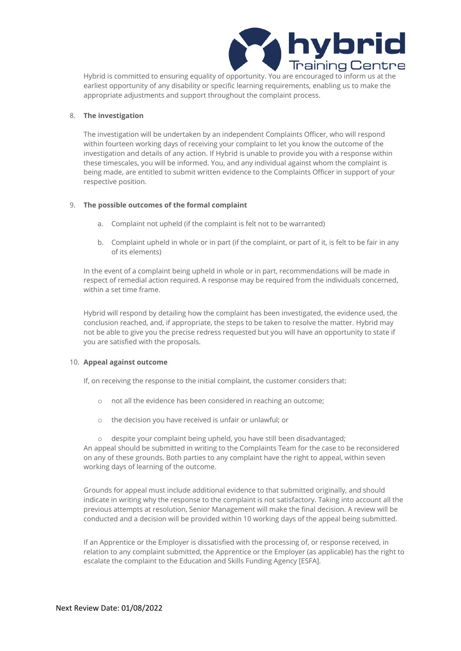

Hybrid is committed to ensuring equality of opportunity. You are encouraged to inform us at the earliest opportunity of any disability or specific learning requirements, enabling us to make the appropriate adjustments and support throughout the complaint process.

## 8. **The investigation**

The investigation will be undertaken by an independent Complaints Officer, who will respond within fourteen working days of receiving your complaint to let you know the outcome of the investigation and details of any action. If Hybrid is unable to provide you with a response within these timescales, you will be informed. You, and any individual against whom the complaint is being made, are entitled to submit written evidence to the Complaints Officer in support of your respective position.

#### 9. **The possible outcomes of the formal complaint**

- a. Complaint not upheld (if the complaint is felt not to be warranted)
- b. Complaint upheld in whole or in part (if the complaint, or part of it, is felt to be fair in any of its elements)

In the event of a complaint being upheld in whole or in part, recommendations will be made in respect of remedial action required. A response may be required from the individuals concerned, within a set time frame.

Hybrid will respond by detailing how the complaint has been investigated, the evidence used, the conclusion reached, and, if appropriate, the steps to be taken to resolve the matter. Hybrid may not be able to give you the precise redress requested but you will have an opportunity to state if you are satisfied with the proposals.

#### 10. **Appeal against outcome**

If, on receiving the response to the initial complaint, the customer considers that:

- o not all the evidence has been considered in reaching an outcome;
- o the decision you have received is unfair or unlawful; or

o despite your complaint being upheld, you have still been disadvantaged; An appeal should be submitted in writing to the Complaints Team for the case to be reconsidered on any of these grounds. Both parties to any complaint have the right to appeal, within seven working days of learning of the outcome.

Grounds for appeal must include additional evidence to that submitted originally, and should indicate in writing why the response to the complaint is not satisfactory. Taking into account all the previous attempts at resolution, Senior Management will make the final decision. A review will be conducted and a decision will be provided within 10 working days of the appeal being submitted.

If an Apprentice or the Employer is dissatisfied with the processing of, or response received, in relation to any complaint submitted, the Apprentice or the Employer (as applicable) has the right to escalate the complaint to the Education and Skills Funding Agency [ESFA].